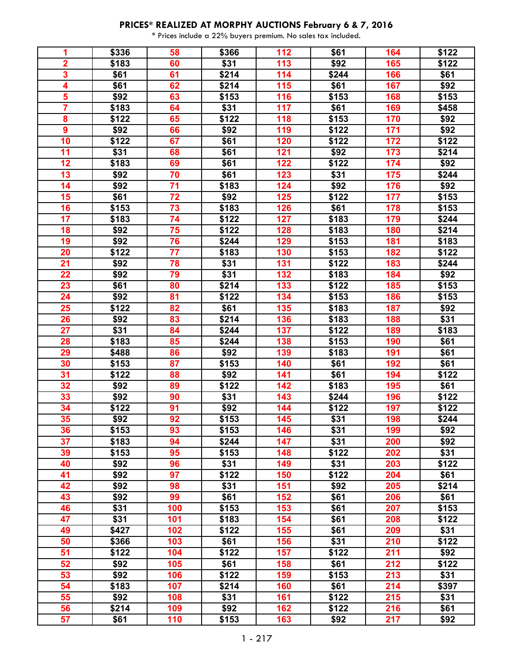| 1                       | \$336 | 58  | \$366 | 112 | \$61          | 164 | \$122 |
|-------------------------|-------|-----|-------|-----|---------------|-----|-------|
| $\overline{\mathbf{2}}$ | \$183 | 60  | \$31  | 113 | \$92          | 165 | \$122 |
| $\overline{\mathbf{3}}$ | \$61  | 61  | \$214 | 114 | \$244         | 166 | \$61  |
| $\overline{\mathbf{4}}$ | \$61  | 62  | \$214 | 115 | \$61          | 167 | \$92  |
| 5                       | \$92  | 63  | \$153 | 116 | \$153         | 168 | \$153 |
| $\overline{\mathbf{7}}$ | \$183 | 64  | \$31  | 117 | \$61          | 169 | \$458 |
| 8                       | \$122 | 65  | \$122 | 118 | \$153         | 170 | \$92  |
| $\overline{9}$          | \$92  | 66  | \$92  | 119 | \$122         | 171 | \$92  |
| 10                      | \$122 | 67  | \$61  | 120 | \$122         | 172 | \$122 |
| 11                      | \$31  | 68  | \$61  | 121 | \$92          | 173 | \$214 |
| 12                      | \$183 | 69  | \$61  | 122 | \$122         | 174 | \$92  |
| 13                      | \$92  | 70  | \$61  | 123 | \$31          | 175 | \$244 |
| 14                      | \$92  | 71  | \$183 | 124 | \$92          | 176 | \$92  |
| 15                      | \$61  | 72  | \$92  | 125 | \$122         | 177 | \$153 |
| 16                      | \$153 | 73  | \$183 | 126 | \$61          | 178 | \$153 |
| 17                      | \$183 | 74  | \$122 | 127 | \$183         | 179 | \$244 |
| 18                      | \$92  | 75  | \$122 | 128 | \$183         | 180 | \$214 |
| 19                      | \$92  | 76  | \$244 | 129 | \$153         | 181 | \$183 |
| 20                      | \$122 | 77  | \$183 | 130 | \$153         | 182 | \$122 |
| 21                      | \$92  | 78  | \$31  | 131 | \$122         | 183 | \$244 |
| 22                      | \$92  | 79  | \$31  | 132 | \$183         | 184 | \$92  |
| 23                      | \$61  | 80  | \$214 | 133 | \$122         | 185 | \$153 |
| 24                      | \$92  | 81  | \$122 | 134 | \$153         | 186 | \$153 |
| 25                      | \$122 | 82  | \$61  | 135 | \$183         | 187 | \$92  |
| 26                      | \$92  | 83  | \$214 | 136 | \$183         | 188 | \$31  |
| $\overline{27}$         | \$31  | 84  | \$244 | 137 | \$122         | 189 | \$183 |
| 28                      | \$183 | 85  | \$244 | 138 | \$153         | 190 | \$61  |
| 29                      | \$488 | 86  | \$92  | 139 | \$183         | 191 | \$61  |
| 30                      | \$153 | 87  | \$153 | 140 | \$61          | 192 | \$61  |
| 31                      | \$122 | 88  | \$92  | 141 | \$61          | 194 | \$122 |
| 32                      | \$92  | 89  | \$122 | 142 | \$183         | 195 | \$61  |
| 33                      | \$92  | 90  | \$31  | 143 | \$244         | 196 | \$122 |
| 34                      | \$122 | 91  | \$92  | 144 | $\sqrt{$122}$ | 197 | \$122 |
| 35                      | \$92  | 92  | \$153 | 145 | \$31          | 198 | \$244 |
| 36                      | \$153 | 93  | \$153 | 146 | \$31          | 199 | \$92  |
| 37                      | \$183 | 94  | \$244 | 147 | \$31          | 200 | \$92  |
| 39                      | \$153 | 95  | \$153 | 148 | \$122         | 202 | \$31  |
| 40                      | \$92  | 96  | \$31  | 149 | \$31          | 203 | \$122 |
| 41                      | \$92  | 97  | \$122 | 150 | \$122         | 204 | \$61  |
| 42                      | \$92  | 98  | \$31  | 151 | \$92          | 205 | \$214 |
| 43                      | \$92  | 99  | \$61  | 152 | \$61          | 206 | \$61  |
| 46                      | \$31  | 100 | \$153 | 153 | \$61          | 207 | \$153 |
| 47                      | \$31  | 101 | \$183 | 154 | \$61          | 208 | \$122 |
| 49                      | \$427 | 102 | \$122 | 155 | \$61          | 209 | \$31  |
| 50                      | \$366 | 103 | \$61  | 156 | \$31          | 210 | \$122 |
| 51                      | \$122 | 104 | \$122 | 157 | \$122         | 211 | \$92  |
| 52                      | \$92  | 105 | \$61  | 158 | \$61          | 212 | \$122 |
| 53                      | \$92  | 106 | \$122 | 159 | \$153         | 213 | \$31  |
| 54                      | \$183 | 107 | \$214 | 160 | \$61          | 214 | \$397 |
| 55                      | \$92  | 108 | \$31  | 161 | \$122         | 215 | \$31  |
| 56                      | \$214 | 109 | \$92  | 162 | \$122         | 216 | \$61  |
| 57                      | \$61  | 110 | \$153 | 163 | \$92          | 217 | \$92  |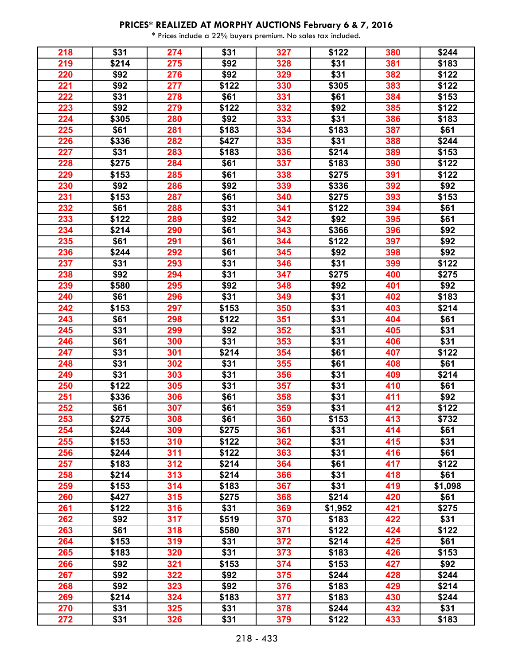| 218 | \$31  | 274 | \$31  | 327 | \$122   | 380 | \$244   |
|-----|-------|-----|-------|-----|---------|-----|---------|
| 219 | \$214 | 275 | \$92  | 328 | \$31    | 381 | \$183   |
| 220 | \$92  | 276 | \$92  | 329 | \$31    | 382 | \$122   |
| 221 | \$92  | 277 | \$122 | 330 | \$305   | 383 | \$122   |
| 222 | \$31  | 278 | \$61  | 331 | \$61    | 384 | \$153   |
| 223 | \$92  | 279 | \$122 | 332 | \$92    | 385 | \$122   |
| 224 | \$305 | 280 | \$92  | 333 | \$31    | 386 | \$183   |
| 225 | \$61  | 281 | \$183 | 334 | \$183   | 387 | \$61    |
| 226 | \$336 | 282 | \$427 | 335 | \$31    | 388 | \$244   |
| 227 | \$31  | 283 | \$183 | 336 | \$214   | 389 | \$153   |
| 228 | \$275 | 284 | \$61  | 337 | \$183   | 390 | \$122   |
| 229 | \$153 | 285 | \$61  | 338 | \$275   | 391 | \$122   |
| 230 | \$92  | 286 | \$92  | 339 | \$336   | 392 | \$92    |
| 231 | \$153 | 287 | \$61  | 340 | \$275   | 393 | \$153   |
| 232 | \$61  | 288 | \$31  | 341 | \$122   | 394 | \$61    |
| 233 | \$122 | 289 | \$92  | 342 | \$92    | 395 | \$61    |
| 234 | \$214 | 290 | \$61  | 343 | \$366   | 396 | \$92    |
| 235 | \$61  | 291 | \$61  | 344 | \$122   | 397 | \$92    |
| 236 | \$244 | 292 | \$61  | 345 | \$92    | 398 | \$92    |
| 237 | \$31  | 293 | \$31  | 346 | \$31    | 399 | \$122   |
| 238 | \$92  | 294 | \$31  | 347 | \$275   | 400 | \$275   |
| 239 | \$580 | 295 | \$92  | 348 | \$92    | 401 | \$92    |
| 240 | \$61  | 296 | \$31  | 349 | \$31    | 402 | \$183   |
| 242 | \$153 | 297 | \$153 | 350 | \$31    | 403 | \$214   |
| 243 | \$61  | 298 | \$122 | 351 | \$31    | 404 | \$61    |
| 245 | \$31  | 299 | \$92  | 352 | \$31    | 405 | \$31    |
| 246 | \$61  | 300 | \$31  | 353 | \$31    | 406 | \$31    |
| 247 | \$31  | 301 | \$214 | 354 | \$61    | 407 | \$122   |
| 248 | \$31  | 302 | \$31  | 355 | \$61    | 408 | \$61    |
| 249 | \$31  | 303 | \$31  | 356 | \$31    | 409 | \$214   |
| 250 | \$122 | 305 | \$31  | 357 | \$31    | 410 | \$61    |
| 251 | \$336 | 306 | \$61  | 358 | \$31    | 411 | \$92    |
| 252 | \$61  | 307 | \$61  | 359 | \$31    | 412 | \$122   |
| 253 | \$275 | 308 | \$61  | 360 | \$153   | 413 | \$732   |
| 254 | \$244 | 309 | \$275 | 361 | \$31    | 414 | \$61    |
| 255 | \$153 | 310 | \$122 | 362 | \$31    | 415 | \$31    |
| 256 | \$244 | 311 | \$122 | 363 | \$31    | 416 | \$61    |
| 257 | \$183 | 312 | \$214 | 364 | \$61    | 417 | \$122   |
| 258 | \$214 | 313 | \$214 | 366 | \$31    | 418 | \$61    |
| 259 | \$153 | 314 | \$183 | 367 | \$31    | 419 | \$1,098 |
| 260 | \$427 | 315 | \$275 | 368 | \$214   | 420 | \$61    |
| 261 | \$122 | 316 | \$31  | 369 | \$1,952 | 421 | \$275   |
| 262 | \$92  | 317 | \$519 | 370 | \$183   | 422 | \$31    |
| 263 | \$61  | 318 | \$580 | 371 | \$122   | 424 | \$122   |
| 264 | \$153 | 319 | \$31  | 372 | \$214   | 425 | \$61    |
| 265 | \$183 | 320 | \$31  | 373 | \$183   | 426 | \$153   |
| 266 | \$92  | 321 | \$153 | 374 | \$153   | 427 | \$92    |
| 267 | \$92  | 322 | \$92  | 375 | \$244   | 428 | \$244   |
| 268 | \$92  | 323 | \$92  | 376 | \$183   | 429 | \$214   |
| 269 | \$214 | 324 | \$183 | 377 | \$183   | 430 | \$244   |
| 270 | \$31  | 325 | \$31  | 378 | \$244   | 432 | \$31    |
| 272 | \$31  | 326 | \$31  | 379 | \$122   | 433 | \$183   |
|     |       |     |       |     |         |     |         |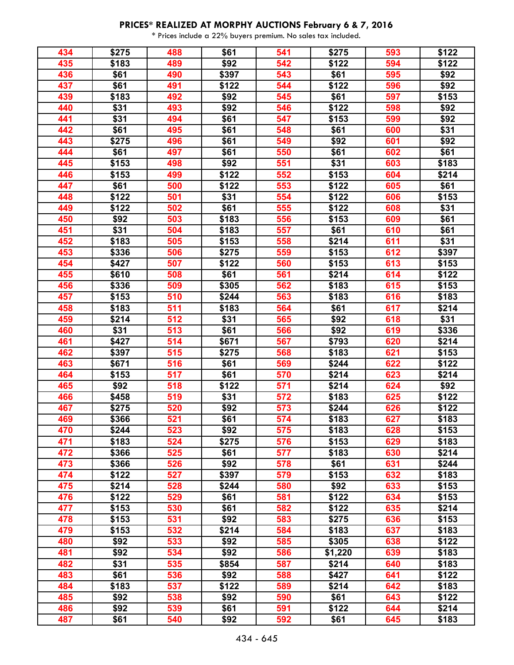| 434 | \$275 | 488 | \$61  | 541 | \$275   | 593 | \$122 |
|-----|-------|-----|-------|-----|---------|-----|-------|
| 435 | \$183 | 489 | \$92  | 542 | \$122   | 594 | \$122 |
| 436 | \$61  | 490 | \$397 | 543 | \$61    | 595 | \$92  |
| 437 | \$61  | 491 | \$122 | 544 | \$122   | 596 | \$92  |
| 439 | \$183 | 492 | \$92  | 545 | \$61    | 597 | \$153 |
| 440 | \$31  | 493 | \$92  | 546 | \$122   | 598 | \$92  |
| 441 | \$31  | 494 | \$61  | 547 | \$153   | 599 | \$92  |
| 442 | \$61  | 495 | \$61  | 548 | \$61    | 600 | \$31  |
| 443 | \$275 | 496 | \$61  | 549 | \$92    | 601 | \$92  |
| 444 | \$61  | 497 | \$61  | 550 | \$61    | 602 | \$61  |
| 445 | \$153 | 498 | \$92  | 551 | \$31    | 603 | \$183 |
| 446 | \$153 | 499 | \$122 | 552 | \$153   | 604 | \$214 |
| 447 | \$61  | 500 | \$122 | 553 | \$122   | 605 | \$61  |
| 448 | \$122 | 501 | \$31  | 554 | \$122   | 606 | \$153 |
| 449 | \$122 | 502 | \$61  | 555 | \$122   | 608 | \$31  |
| 450 | \$92  | 503 | \$183 | 556 | \$153   | 609 | \$61  |
| 451 | \$31  | 504 | \$183 | 557 | \$61    | 610 | \$61  |
| 452 | \$183 | 505 | \$153 | 558 | \$214   | 611 | \$31  |
| 453 | \$336 | 506 | \$275 | 559 | \$153   | 612 | \$397 |
| 454 | \$427 | 507 | \$122 | 560 | \$153   | 613 | \$153 |
| 455 | \$610 | 508 | \$61  | 561 | \$214   | 614 | \$122 |
| 456 | \$336 | 509 | \$305 | 562 | \$183   | 615 | \$153 |
| 457 | \$153 | 510 | \$244 | 563 | \$183   | 616 | \$183 |
| 458 | \$183 | 511 | \$183 | 564 | \$61    | 617 | \$214 |
| 459 | \$214 | 512 | \$31  | 565 | \$92    | 618 | \$31  |
| 460 | \$31  | 513 | \$61  | 566 | \$92    | 619 | \$336 |
| 461 | \$427 | 514 | \$671 | 567 | \$793   | 620 | \$214 |
| 462 | \$397 | 515 | \$275 | 568 | \$183   | 621 | \$153 |
| 463 | \$671 | 516 | \$61  | 569 | \$244   | 622 | \$122 |
| 464 | \$153 | 517 | \$61  | 570 | \$214   | 623 | \$214 |
| 465 | \$92  | 518 | \$122 | 571 | \$214   | 624 | \$92  |
| 466 | \$458 | 519 | \$31  | 572 | \$183   | 625 | \$122 |
| 467 | \$275 | 520 | \$92  | 573 | \$244   | 626 | \$122 |
| 469 | \$366 | 521 | \$61  | 574 | \$183   | 627 | \$183 |
| 470 | \$244 | 523 | \$92  | 575 | \$183   | 628 | \$153 |
| 471 | \$183 | 524 | \$275 | 576 | \$153   | 629 | \$183 |
| 472 | \$366 | 525 | \$61  | 577 | \$183   | 630 | \$214 |
| 473 | \$366 | 526 | \$92  | 578 | \$61    | 631 | \$244 |
| 474 | \$122 | 527 | \$397 | 579 | \$153   | 632 | \$183 |
| 475 | \$214 | 528 | \$244 | 580 | \$92    | 633 | \$153 |
| 476 | \$122 | 529 | \$61  | 581 | \$122   | 634 | \$153 |
| 477 | \$153 | 530 | \$61  | 582 | \$122   | 635 | \$214 |
| 478 | \$153 | 531 | \$92  | 583 | \$275   | 636 | \$153 |
| 479 | \$153 | 532 | \$214 | 584 | \$183   | 637 | \$183 |
| 480 | \$92  | 533 | \$92  | 585 | \$305   | 638 | \$122 |
| 481 | \$92  | 534 | \$92  | 586 | \$1,220 | 639 | \$183 |
| 482 | \$31  | 535 | \$854 | 587 | \$214   | 640 | \$183 |
| 483 | \$61  | 536 | \$92  | 588 | \$427   | 641 | \$122 |
| 484 | \$183 | 537 | \$122 | 589 | \$214   | 642 | \$183 |
| 485 | \$92  | 538 | \$92  | 590 | \$61    | 643 | \$122 |
| 486 | \$92  | 539 | \$61  | 591 | \$122   | 644 | \$214 |
| 487 | \$61  | 540 | \$92  | 592 | \$61    | 645 | \$183 |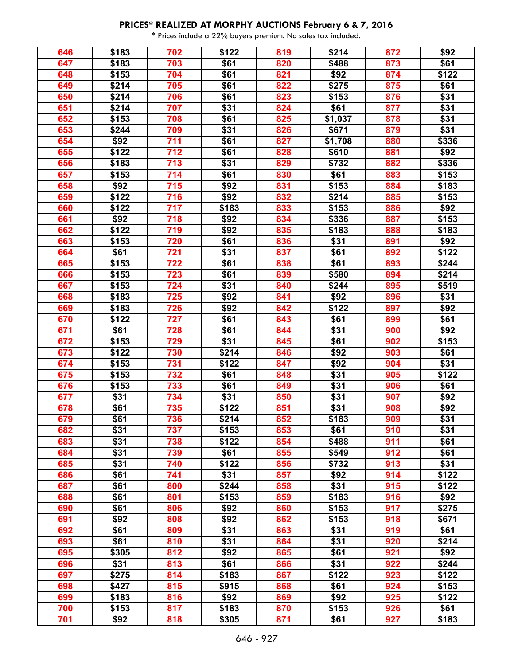| 646 | \$183 | 702        | \$122 | 819 | \$214   | 872 | \$92  |
|-----|-------|------------|-------|-----|---------|-----|-------|
| 647 | \$183 | 703        | \$61  | 820 | \$488   | 873 | \$61  |
| 648 | \$153 | 704        | \$61  | 821 | \$92    | 874 | \$122 |
| 649 | \$214 | 705        | \$61  | 822 | \$275   | 875 | \$61  |
| 650 | \$214 | 706        | \$61  | 823 | \$153   | 876 | \$31  |
| 651 | \$214 | 707        | \$31  | 824 | \$61    | 877 | \$31  |
| 652 | \$153 | 708        | \$61  | 825 | \$1,037 | 878 | \$31  |
| 653 | \$244 | 709        | \$31  | 826 | \$671   | 879 | \$31  |
| 654 | \$92  | 711        | \$61  | 827 | \$1,708 | 880 | \$336 |
| 655 | \$122 | 712        | \$61  | 828 | \$610   | 881 | \$92  |
| 656 | \$183 | 713        | \$31  | 829 | \$732   | 882 | \$336 |
| 657 | \$153 | 714        | \$61  | 830 | \$61    | 883 | \$153 |
| 658 | \$92  | 715        | \$92  | 831 | \$153   | 884 | \$183 |
| 659 | \$122 | 716        | \$92  | 832 | \$214   | 885 | \$153 |
| 660 | \$122 | 717        | \$183 | 833 | \$153   | 886 | \$92  |
| 661 | \$92  | 718        | \$92  | 834 | \$336   | 887 | \$153 |
| 662 | \$122 | 719        | \$92  | 835 | \$183   | 888 | \$183 |
| 663 | \$153 | 720        | \$61  | 836 | \$31    | 891 | \$92  |
| 664 | \$61  | 721        | \$31  | 837 | \$61    | 892 | \$122 |
| 665 | \$153 | 722        | \$61  | 838 | \$61    | 893 | \$244 |
| 666 | \$153 | 723        | \$61  | 839 | \$580   | 894 | \$214 |
| 667 | \$153 | 724        | \$31  | 840 | \$244   | 895 | \$519 |
| 668 | \$183 | 725        | \$92  | 841 | \$92    | 896 | \$31  |
|     |       |            |       |     |         | 897 | \$92  |
| 669 | \$183 | 726<br>727 | \$92  | 842 | \$122   |     |       |
| 670 | \$122 |            | \$61  | 843 | \$61    | 899 | \$61  |
| 671 | \$61  | 728        | \$61  | 844 | \$31    | 900 | \$92  |
| 672 | \$153 | 729        | \$31  | 845 | \$61    | 902 | \$153 |
| 673 | \$122 | 730        | \$214 | 846 | \$92    | 903 | \$61  |
| 674 | \$153 | 731        | \$122 | 847 | \$92    | 904 | \$31  |
| 675 | \$153 | 732        | \$61  | 848 | \$31    | 905 | \$122 |
| 676 | \$153 | 733        | \$61  | 849 | \$31    | 906 | \$61  |
| 677 | \$31  | 734        | \$31  | 850 | \$31    | 907 | \$92  |
| 678 | \$61  | 735        | \$122 | 851 | \$31    | 908 | \$92  |
| 679 | \$61  | 736        | \$214 | 852 | \$183   | 909 | \$31  |
| 682 | \$31  | 737        | \$153 | 853 | \$61    | 910 | \$31  |
| 683 | \$31  | 738        | \$122 | 854 | \$488   | 911 | \$61  |
| 684 | \$31  | 739        | \$61  | 855 | \$549   | 912 | \$61  |
| 685 | \$31  | 740        | \$122 | 856 | \$732   | 913 | \$31  |
| 686 | \$61  | 741        | \$31  | 857 | \$92    | 914 | \$122 |
| 687 | \$61  | 800        | \$244 | 858 | \$31    | 915 | \$122 |
| 688 | \$61  | 801        | \$153 | 859 | \$183   | 916 | \$92  |
| 690 | \$61  | 806        | \$92  | 860 | \$153   | 917 | \$275 |
| 691 | \$92  | 808        | \$92  | 862 | \$153   | 918 | \$671 |
| 692 | \$61  | 809        | \$31  | 863 | \$31    | 919 | \$61  |
| 693 | \$61  | 810        | \$31  | 864 | \$31    | 920 | \$214 |
| 695 | \$305 | 812        | \$92  | 865 | \$61    | 921 | \$92  |
| 696 | \$31  | 813        | \$61  | 866 | \$31    | 922 | \$244 |
| 697 | \$275 | 814        | \$183 | 867 | \$122   | 923 | \$122 |
| 698 | \$427 | 815        | \$915 | 868 | \$61    | 924 | \$153 |
| 699 | \$183 | 816        | \$92  | 869 | \$92    | 925 | \$122 |
| 700 | \$153 | 817        | \$183 | 870 | \$153   | 926 | \$61  |
| 701 | \$92  | 818        | \$305 | 871 | \$61    | 927 | \$183 |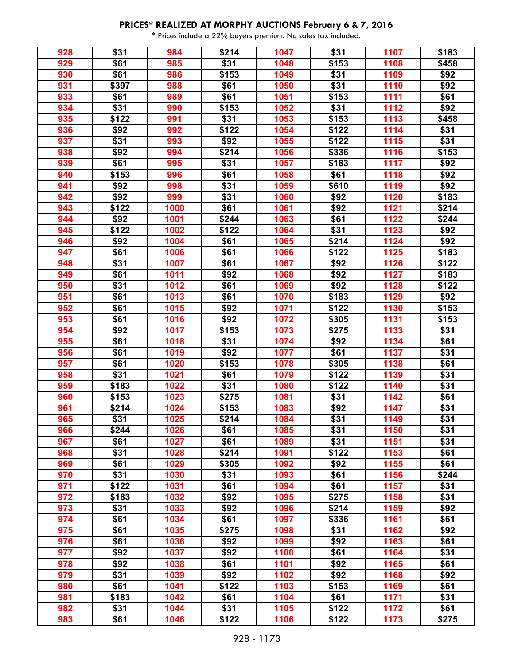| 928 | \$31  | 984  | \$214 | 1047 | \$31              | 1107              | \$183            |
|-----|-------|------|-------|------|-------------------|-------------------|------------------|
| 929 | \$61  | 985  | \$31  | 1048 | \$153             | 1108              | \$458            |
| 930 | \$61  | 986  | \$153 | 1049 | \$31              | 1109              | \$92             |
| 931 | \$397 | 988  | \$61  | 1050 | \$31              | 1110              | \$92             |
| 933 | \$61  | 989  | \$61  | 1051 | \$153             | 1111              | \$61             |
| 934 | \$31  | 990  | \$153 | 1052 | \$31              | 1112              | \$92             |
| 935 | \$122 | 991  | \$31  | 1053 | \$153             | 1113              | \$458            |
| 936 | \$92  | 992  | \$122 | 1054 | \$122             | 1114              | \$31             |
| 937 | \$31  | 993  | \$92  | 1055 | \$122             | 1115              | \$31             |
| 938 | \$92  | 994  | \$214 | 1056 | \$336             | 1116              | \$153            |
| 939 | \$61  | 995  | \$31  | 1057 | \$183             | 1117              | \$92             |
| 940 | \$153 | 996  | \$61  | 1058 | \$61              | 1118              | \$92             |
| 941 | \$92  | 998  | \$31  | 1059 | \$610             | 1119              | \$92             |
| 942 | \$92  | 999  | \$31  | 1060 | \$92              | 1120              | \$183            |
| 943 | \$122 | 1000 | \$61  | 1061 | \$92              | 1121              | \$214            |
| 944 | \$92  | 1001 | \$244 | 1063 | \$61              | 1122              | \$244            |
| 945 | \$122 | 1002 | \$122 | 1064 | \$31              | 1123              | \$92             |
|     |       |      | \$61  |      | \$214             | 1124              | \$92             |
| 946 | \$92  | 1004 |       | 1065 |                   |                   |                  |
| 947 | \$61  | 1006 | \$61  | 1066 | \$122             | 1125              | \$183            |
| 948 | \$31  | 1007 | \$61  | 1067 | \$92              | 1126              | \$122            |
| 949 | \$61  | 1011 | \$92  | 1068 | \$92              | 1127              | \$183            |
| 950 | \$31  | 1012 | \$61  | 1069 | \$92              | 1128              | \$122            |
| 951 | \$61  | 1013 | \$61  | 1070 | \$183             | 1129              | $\overline{$}92$ |
| 952 | \$61  | 1015 | \$92  | 1071 | \$122             | 1130              | \$153            |
| 953 | \$61  | 1016 | \$92  | 1072 | \$305             | 1131              | \$153            |
| 954 | \$92  | 1017 | \$153 | 1073 | \$275             | 1133              | \$31             |
| 955 | \$61  | 1018 | \$31  | 1074 | \$92              | 1134              | \$61             |
| 956 | \$61  | 1019 | \$92  | 1077 | \$61              | 1137              | \$31             |
| 957 | \$61  | 1020 | \$153 | 1078 | \$305             | 1138              | \$61             |
| 958 | \$31  | 1021 | \$61  | 1079 | \$122             | 1139              | \$31             |
| 959 | \$183 | 1022 | \$31  | 1080 | $\overline{$}122$ | 1140              | \$31             |
| 960 | \$153 | 1023 | \$275 | 1081 | \$31              | 1142              | \$61             |
| 961 | \$214 | 1024 | \$153 | 1083 | \$92              | 1147              | \$31             |
| 965 | \$31  | 1025 | \$214 | 1084 | \$31              | 1149              | \$31             |
| 966 | \$244 | 1026 | \$61  | 1085 | \$31              | 1150              | \$31             |
| 967 | \$61  | 1027 | \$61  | 1089 | \$31              | 1151              | \$31             |
| 968 | \$31  | 1028 | \$214 | 1091 | \$122             | 1153              | \$61             |
| 969 | \$61  | 1029 | \$305 | 1092 | \$92              | 1155              | \$61             |
| 970 | \$31  | 1030 | \$31  | 1093 | \$61              | 1156              | \$244            |
| 971 | \$122 | 1031 | \$61  | 1094 | \$61              | 1157              | \$31             |
| 972 | \$183 | 1032 | \$92  | 1095 | \$275             | 1158              | \$31             |
| 973 | \$31  | 1033 | \$92  | 1096 | \$214             | 1159              | \$92             |
| 974 | \$61  | 1034 | \$61  | 1097 | \$336             | 1161              | \$61             |
| 975 | \$61  | 1035 | \$275 | 1098 | \$31              | 1162              | \$92             |
| 976 | \$61  | 1036 | \$92  | 1099 | \$92              | 1163              | \$61             |
| 977 | \$92  | 1037 | \$92  | 1100 | \$61              | 1164              | \$31             |
| 978 | \$92  | 1038 | \$61  | 1101 | \$92              | 1165              | \$61             |
| 979 | \$31  | 1039 | \$92  | 1102 | \$92              | 1168              | \$92             |
| 980 | \$61  | 1041 | \$122 | 1103 | \$153             | 1169              | \$61             |
| 981 | \$183 | 1042 | \$61  | 1104 | \$61              | 1171              | \$31             |
| 982 | \$31  | 1044 | \$31  | 1105 | \$122             | $\overline{1172}$ | \$61             |
| 983 | \$61  | 1046 | \$122 | 1106 | \$122             | 1173              | \$275            |
|     |       |      |       |      |                   |                   |                  |